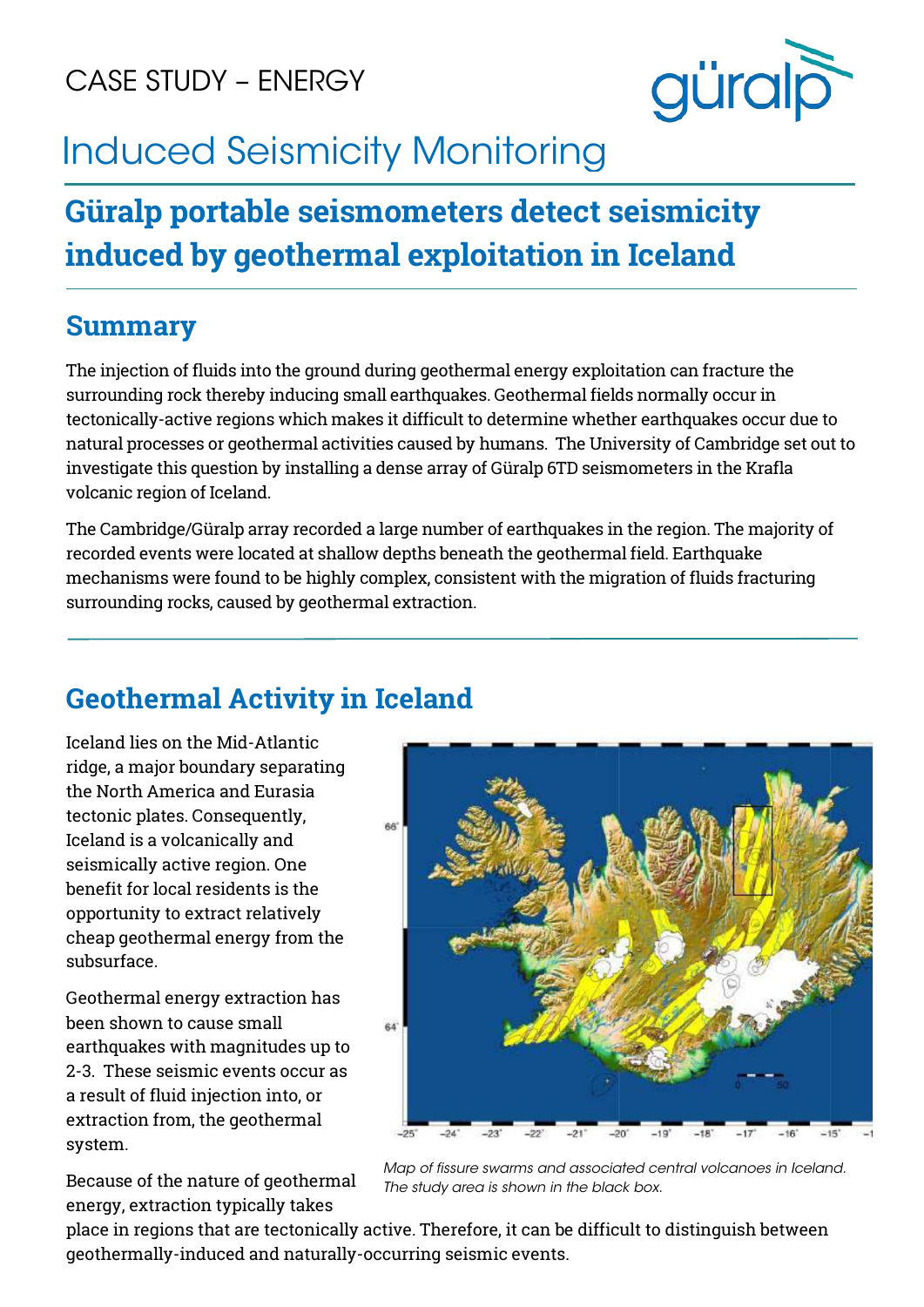CASE STUDY – ENERGY



# Induced Seismicity Monitoring

# **Güralp portable seismometers detect seismicity induced by geothermal exploitation in Iceland**

#### **Summary**

The injection of fluids into the ground during geothermal energy exploitation can fracture the surrounding rock thereby inducing small earthquakes. Geothermal fields normally occur in tectonically-active regions which makes it difficult to determine whether earthquakes occur due to natural processes or geothermal activities caused by humans. The University of Cambridge set out to investigate this question by installing a dense array of Güralp 6TD seismometers in the Krafla volcanic region of Iceland.

The Cambridge/Güralp array recorded a large number of earthquakes in the region. The majority of recorded events were located at shallow depths beneath the geothermal field. Earthquake mechanisms were found to be highly complex, consistent with the migration of fluids fracturing surrounding rocks, caused by geothermal extraction.

### **Geothermal Activity in Iceland**

Iceland lies on the Mid-Atlantic ridge, a major boundary separating the North America and Eurasia tectonic plates. Consequently, Iceland is a volcanically and seismically active region. One benefit for local residents is the opportunity to extract relatively cheap geothermal energy from the subsurface.

Geothermal energy extraction has been shown to cause small earthquakes with magnitudes up to 2-3. These seismic events occur as a result of fluid injection into, or extraction from, the geothermal system.

Because of the nature of geothermal energy, extraction typically takes



*Map of fissure swarms and associated central volcanoes in Iceland. The study area is shown in the black box.*

place in regions that are tectonically active. Therefore, it can be difficult to distinguish between geothermally-induced and naturally-occurring seismic events.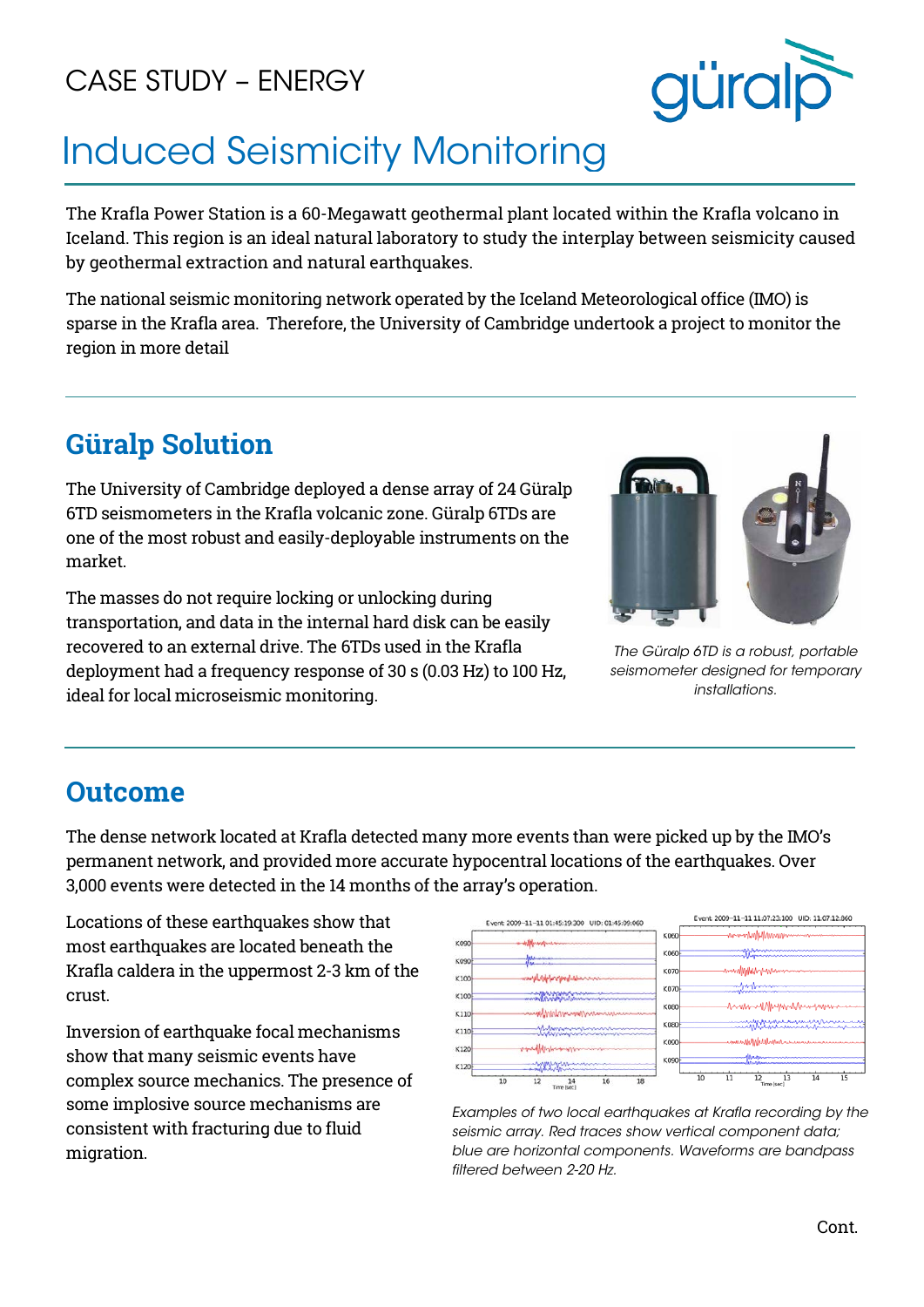## CASE STUDY – ENERGY



# Induced Seismicity Monitoring

The Krafla Power Station is a 60-Megawatt geothermal plant located within the Krafla volcano in Iceland. This region is an ideal natural laboratory to study the interplay between seismicity caused by geothermal extraction and natural earthquakes.

The national seismic monitoring network operated by the Iceland Meteorological office (IMO) is sparse in the Krafla area. Therefore, the University of Cambridge undertook a project to monitor the region in more detail

### **Güralp Solution**

The University of Cambridge deployed a dense array of 24 Güralp 6TD seismometers in the Krafla volcanic zone. Güralp 6TDs are one of the most robust and easily-deployable instruments on the market.

The masses do not require locking or unlocking during transportation, and data in the internal hard disk can be easily recovered to an external drive. The 6TDs used in the Krafla deployment had a frequency response of 30 s (0.03 Hz) to 100 Hz, ideal for local microseismic monitoring.



*The Güralp 6TD is a robust, portable seismometer designed for temporary installations.*

#### **Outcome**

The dense network located at Krafla detected many more events than were picked up by the IMO's permanent network, and provided more accurate hypocentral locations of the earthquakes. Over 3,000 events were detected in the 14 months of the array's operation.

Locations of these earthquakes show that most earthquakes are located beneath the Krafla caldera in the uppermost 2-3 km of the crust.

Inversion of earthquake focal mechanisms show that many seismic events have complex source mechanics. The presence of some implosive source mechanisms are consistent with fracturing due to fluid migration.



*Examples of two local earthquakes at Krafla recording by the seismic array. Red traces show vertical component data; blue are horizontal components. Waveforms are bandpass filtered between 2-20 Hz.*